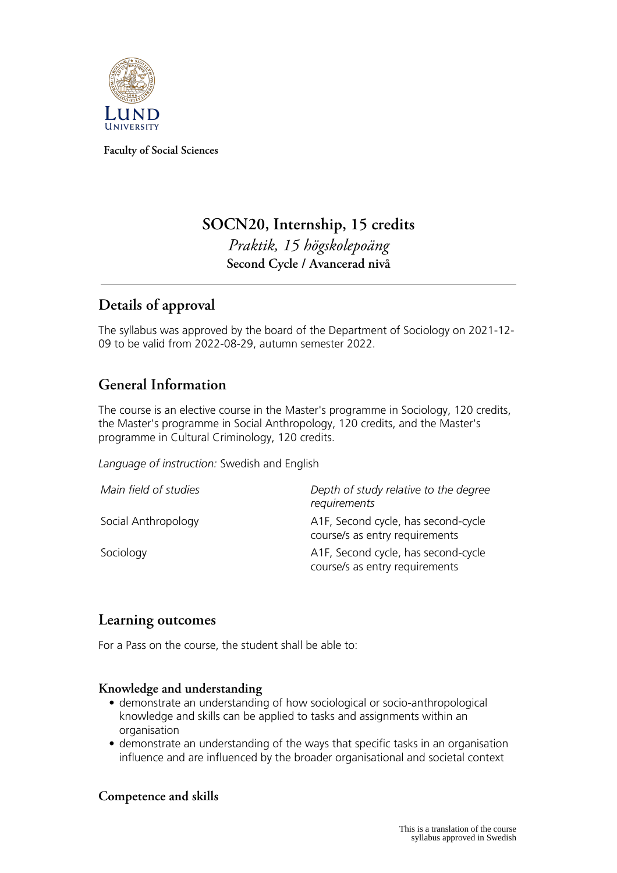

**Faculty of Social Sciences**

# **SOCN20, Internship, 15 credits** *Praktik, 15 högskolepoäng* **Second Cycle / Avancerad nivå**

## **Details of approval**

The syllabus was approved by the board of the Department of Sociology on 2021-12- 09 to be valid from 2022-08-29, autumn semester 2022.

## **General Information**

The course is an elective course in the Master's programme in Sociology, 120 credits, the Master's programme in Social Anthropology, 120 credits, and the Master's programme in Cultural Criminology, 120 credits.

*Language of instruction:* Swedish and English

| Main field of studies | Depth of study relative to the degree<br>requirements                 |
|-----------------------|-----------------------------------------------------------------------|
| Social Anthropology   | A1F, Second cycle, has second-cycle<br>course/s as entry requirements |
| Sociology             | A1F, Second cycle, has second-cycle<br>course/s as entry requirements |

## **Learning outcomes**

For a Pass on the course, the student shall be able to:

## **Knowledge and understanding**

- demonstrate an understanding of how sociological or socio-anthropological knowledge and skills can be applied to tasks and assignments within an organisation
- demonstrate an understanding of the ways that specific tasks in an organisation influence and are influenced by the broader organisational and societal context

## **Competence and skills**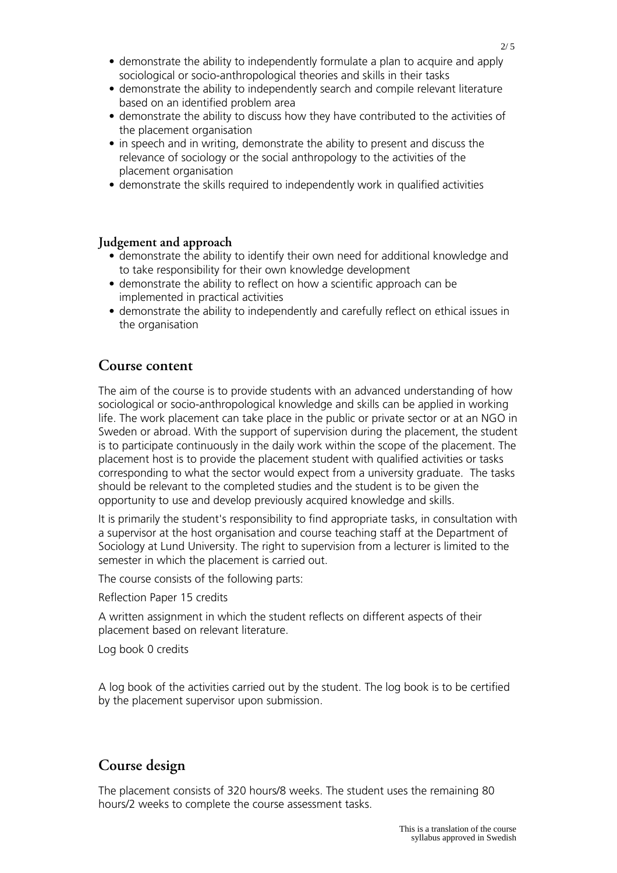- demonstrate the ability to independently formulate a plan to acquire and apply sociological or socio-anthropological theories and skills in their tasks
- demonstrate the ability to independently search and compile relevant literature based on an identified problem area
- demonstrate the ability to discuss how they have contributed to the activities of the placement organisation
- in speech and in writing, demonstrate the ability to present and discuss the relevance of sociology or the social anthropology to the activities of the placement organisation
- demonstrate the skills required to independently work in qualified activities

#### **Judgement and approach**

- demonstrate the ability to identify their own need for additional knowledge and to take responsibility for their own knowledge development
- demonstrate the ability to reflect on how a scientific approach can be implemented in practical activities
- demonstrate the ability to independently and carefully reflect on ethical issues in the organisation

### **Course content**

The aim of the course is to provide students with an advanced understanding of how sociological or socio-anthropological knowledge and skills can be applied in working life. The work placement can take place in the public or private sector or at an NGO in Sweden or abroad. With the support of supervision during the placement, the student is to participate continuously in the daily work within the scope of the placement. The placement host is to provide the placement student with qualified activities or tasks corresponding to what the sector would expect from a university graduate. The tasks should be relevant to the completed studies and the student is to be given the opportunity to use and develop previously acquired knowledge and skills.

It is primarily the student's responsibility to find appropriate tasks, in consultation with a supervisor at the host organisation and course teaching staff at the Department of Sociology at Lund University. The right to supervision from a lecturer is limited to the semester in which the placement is carried out.

The course consists of the following parts:

Reflection Paper 15 credits

A written assignment in which the student reflects on different aspects of their placement based on relevant literature.

Log book 0 credits

A log book of the activities carried out by the student. The log book is to be certified by the placement supervisor upon submission.

## **Course design**

The placement consists of 320 hours/8 weeks. The student uses the remaining 80 hours/2 weeks to complete the course assessment tasks.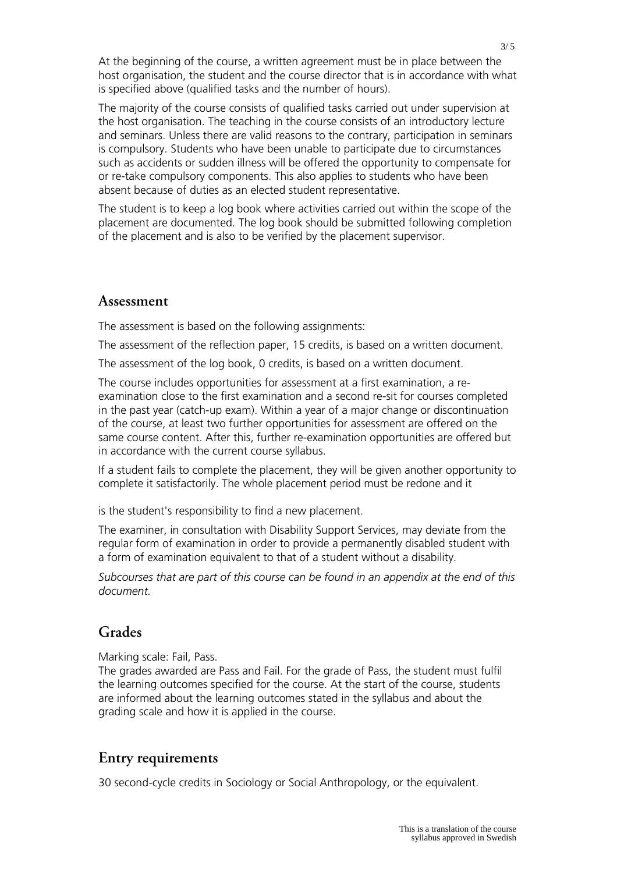At the beginning of the course, a written agreement must be in place between the host organisation, the student and the course director that is in accordance with what is specified above (qualified tasks and the number of hours).

The majority of the course consists of qualified tasks carried out under supervision at the host organisation. The teaching in the course consists of an introductory lecture and seminars. Unless there are valid reasons to the contrary, participation in seminars is compulsory. Students who have been unable to participate due to circumstances such as accidents or sudden illness will be offered the opportunity to compensate for or re-take compulsory components. This also applies to students who have been absent because of duties as an elected student representative.

The student is to keep a log book where activities carried out within the scope of the placement are documented. The log book should be submitted following completion of the placement and is also to be verified by the placement supervisor.

## **Assessment**

The assessment is based on the following assignments:

The assessment of the reflection paper, 15 credits, is based on a written document.

The assessment of the log book, 0 credits, is based on a written document.

The course includes opportunities for assessment at a first examination, a reexamination close to the first examination and a second re-sit for courses completed in the past year (catch-up exam). Within a year of a major change or discontinuation of the course, at least two further opportunities for assessment are offered on the same course content. After this, further re-examination opportunities are offered but in accordance with the current course syllabus.

If a student fails to complete the placement, they will be given another opportunity to complete it satisfactorily. The whole placement period must be redone and it

is the student's responsibility to find a new placement.

The examiner, in consultation with Disability Support Services, may deviate from the regular form of examination in order to provide a permanently disabled student with a form of examination equivalent to that of a student without a disability.

*Subcourses that are part of this course can be found in an appendix at the end of this document.*

## **Grades**

Marking scale: Fail, Pass.

The grades awarded are Pass and Fail. For the grade of Pass, the student must fulfil the learning outcomes specified for the course. At the start of the course, students are informed about the learning outcomes stated in the syllabus and about the grading scale and how it is applied in the course.

## **Entry requirements**

30 second-cycle credits in Sociology or Social Anthropology, or the equivalent.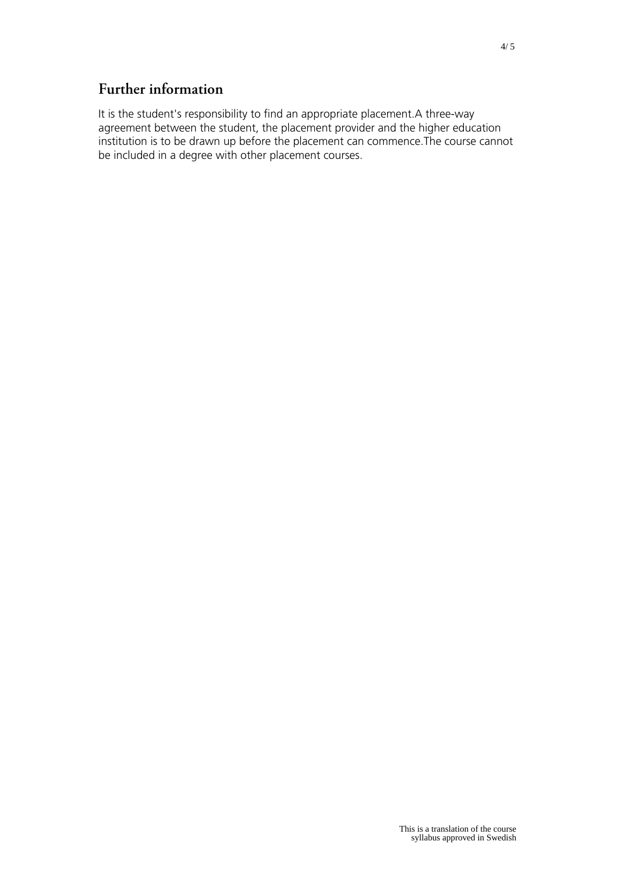## **Further information**

It is the student's responsibility to find an appropriate placement.A three-way agreement between the student, the placement provider and the higher education institution is to be drawn up before the placement can commence.The course cannot be included in a degree with other placement courses.